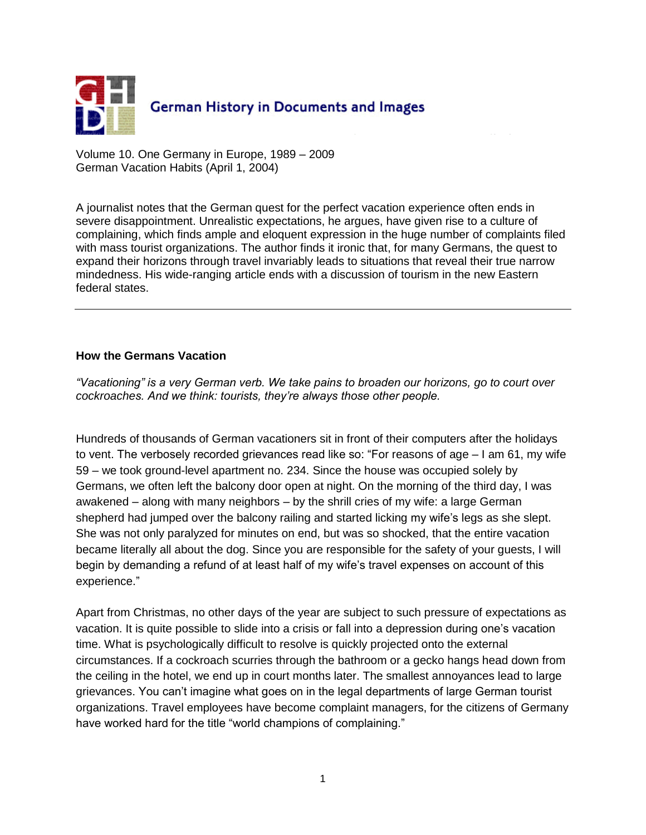

Volume 10. One Germany in Europe, 1989 – 2009 German Vacation Habits (April 1, 2004)

A journalist notes that the German quest for the perfect vacation experience often ends in severe disappointment. Unrealistic expectations, he argues, have given rise to a culture of complaining, which finds ample and eloquent expression in the huge number of complaints filed with mass tourist organizations. The author finds it ironic that, for many Germans, the quest to expand their horizons through travel invariably leads to situations that reveal their true narrow mindedness. His wide-ranging article ends with a discussion of tourism in the new Eastern federal states.

## **How the Germans Vacation**

*"Vacationing" is a very German verb. We take pains to broaden our horizons, go to court over cockroaches. And we think: tourists, they're always those other people.*

Hundreds of thousands of German vacationers sit in front of their computers after the holidays to vent. The verbosely recorded grievances read like so: "For reasons of age – I am 61, my wife 59 – we took ground-level apartment no. 234. Since the house was occupied solely by Germans, we often left the balcony door open at night. On the morning of the third day, I was awakened – along with many neighbors – by the shrill cries of my wife: a large German shepherd had jumped over the balcony railing and started licking my wife's legs as she slept. She was not only paralyzed for minutes on end, but was so shocked, that the entire vacation became literally all about the dog. Since you are responsible for the safety of your guests, I will begin by demanding a refund of at least half of my wife's travel expenses on account of this experience."

Apart from Christmas, no other days of the year are subject to such pressure of expectations as vacation. It is quite possible to slide into a crisis or fall into a depression during one's vacation time. What is psychologically difficult to resolve is quickly projected onto the external circumstances. If a cockroach scurries through the bathroom or a gecko hangs head down from the ceiling in the hotel, we end up in court months later. The smallest annoyances lead to large grievances. You can't imagine what goes on in the legal departments of large German tourist organizations. Travel employees have become complaint managers, for the citizens of Germany have worked hard for the title "world champions of complaining."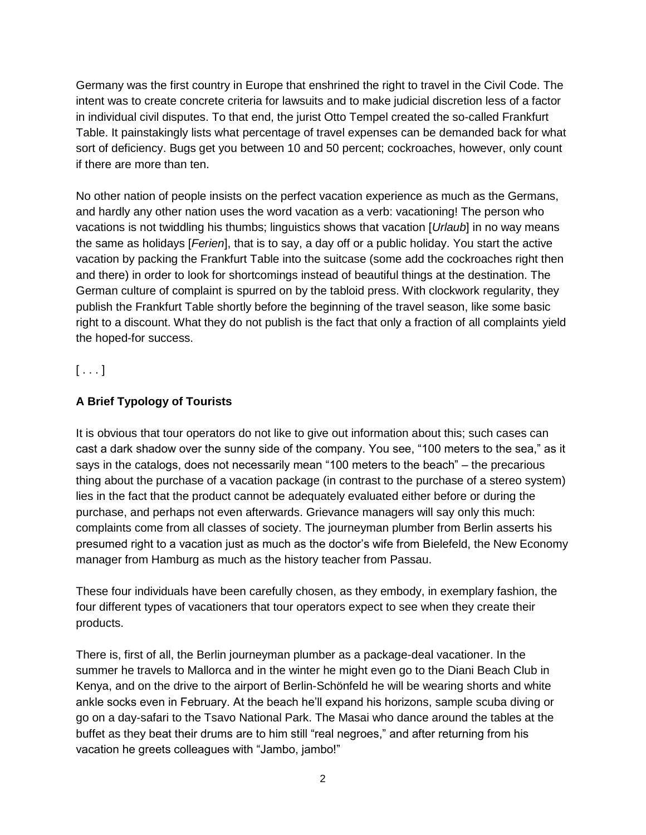Germany was the first country in Europe that enshrined the right to travel in the Civil Code. The intent was to create concrete criteria for lawsuits and to make judicial discretion less of a factor in individual civil disputes. To that end, the jurist Otto Tempel created the so-called Frankfurt Table. It painstakingly lists what percentage of travel expenses can be demanded back for what sort of deficiency. Bugs get you between 10 and 50 percent; cockroaches, however, only count if there are more than ten.

No other nation of people insists on the perfect vacation experience as much as the Germans, and hardly any other nation uses the word vacation as a verb: vacationing! The person who vacations is not twiddling his thumbs; linguistics shows that vacation [*Urlaub*] in no way means the same as holidays [*Ferien*], that is to say, a day off or a public holiday. You start the active vacation by packing the Frankfurt Table into the suitcase (some add the cockroaches right then and there) in order to look for shortcomings instead of beautiful things at the destination. The German culture of complaint is spurred on by the tabloid press. With clockwork regularity, they publish the Frankfurt Table shortly before the beginning of the travel season, like some basic right to a discount. What they do not publish is the fact that only a fraction of all complaints yield the hoped-for success.

 $[\ldots]$ 

## **A Brief Typology of Tourists**

It is obvious that tour operators do not like to give out information about this; such cases can cast a dark shadow over the sunny side of the company. You see, "100 meters to the sea," as it says in the catalogs, does not necessarily mean "100 meters to the beach" – the precarious thing about the purchase of a vacation package (in contrast to the purchase of a stereo system) lies in the fact that the product cannot be adequately evaluated either before or during the purchase, and perhaps not even afterwards. Grievance managers will say only this much: complaints come from all classes of society. The journeyman plumber from Berlin asserts his presumed right to a vacation just as much as the doctor's wife from Bielefeld, the New Economy manager from Hamburg as much as the history teacher from Passau.

These four individuals have been carefully chosen, as they embody, in exemplary fashion, the four different types of vacationers that tour operators expect to see when they create their products.

There is, first of all, the Berlin journeyman plumber as a package-deal vacationer. In the summer he travels to Mallorca and in the winter he might even go to the Diani Beach Club in Kenya, and on the drive to the airport of Berlin-Schönfeld he will be wearing shorts and white ankle socks even in February. At the beach he'll expand his horizons, sample scuba diving or go on a day-safari to the Tsavo National Park. The Masai who dance around the tables at the buffet as they beat their drums are to him still "real negroes," and after returning from his vacation he greets colleagues with "Jambo, jambo!"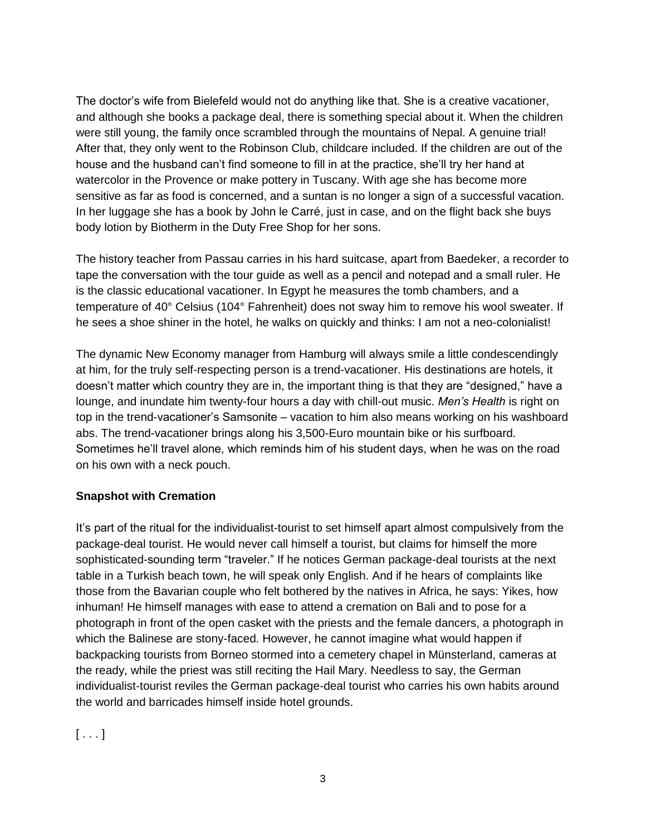The doctor's wife from Bielefeld would not do anything like that. She is a creative vacationer, and although she books a package deal, there is something special about it. When the children were still young, the family once scrambled through the mountains of Nepal. A genuine trial! After that, they only went to the Robinson Club, childcare included. If the children are out of the house and the husband can't find someone to fill in at the practice, she'll try her hand at watercolor in the Provence or make pottery in Tuscany. With age she has become more sensitive as far as food is concerned, and a suntan is no longer a sign of a successful vacation. In her luggage she has a book by John le Carré, just in case, and on the flight back she buys body lotion by Biotherm in the Duty Free Shop for her sons.

The history teacher from Passau carries in his hard suitcase, apart from Baedeker, a recorder to tape the conversation with the tour guide as well as a pencil and notepad and a small ruler. He is the classic educational vacationer. In Egypt he measures the tomb chambers, and a temperature of 40° Celsius (104° Fahrenheit) does not sway him to remove his wool sweater. If he sees a shoe shiner in the hotel, he walks on quickly and thinks: I am not a neo-colonialist!

The dynamic New Economy manager from Hamburg will always smile a little condescendingly at him, for the truly self-respecting person is a trend-vacationer. His destinations are hotels, it doesn't matter which country they are in, the important thing is that they are "designed," have a lounge, and inundate him twenty-four hours a day with chill-out music. *Men's Health* is right on top in the trend-vacationer's Samsonite – vacation to him also means working on his washboard abs. The trend-vacationer brings along his 3,500-Euro mountain bike or his surfboard. Sometimes he'll travel alone, which reminds him of his student days, when he was on the road on his own with a neck pouch.

## **Snapshot with Cremation**

It's part of the ritual for the individualist-tourist to set himself apart almost compulsively from the package-deal tourist. He would never call himself a tourist, but claims for himself the more sophisticated-sounding term "traveler." If he notices German package-deal tourists at the next table in a Turkish beach town, he will speak only English. And if he hears of complaints like those from the Bavarian couple who felt bothered by the natives in Africa, he says: Yikes, how inhuman! He himself manages with ease to attend a cremation on Bali and to pose for a photograph in front of the open casket with the priests and the female dancers, a photograph in which the Balinese are stony-faced. However, he cannot imagine what would happen if backpacking tourists from Borneo stormed into a cemetery chapel in Münsterland, cameras at the ready, while the priest was still reciting the Hail Mary. Needless to say, the German individualist-tourist reviles the German package-deal tourist who carries his own habits around the world and barricades himself inside hotel grounds.

 $[ \ldots ]$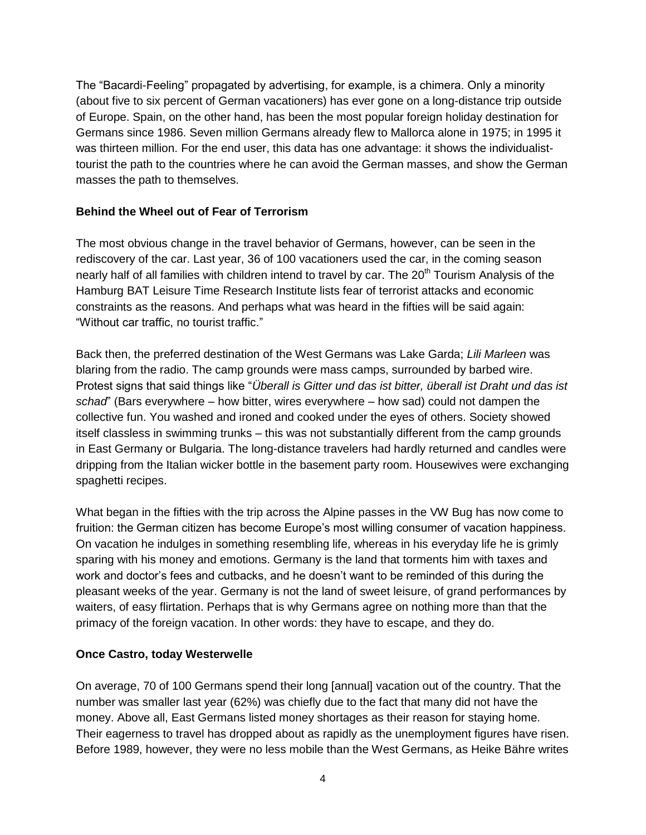The "Bacardi-Feeling" propagated by advertising, for example, is a chimera. Only a minority (about five to six percent of German vacationers) has ever gone on a long-distance trip outside of Europe. Spain, on the other hand, has been the most popular foreign holiday destination for Germans since 1986. Seven million Germans already flew to Mallorca alone in 1975; in 1995 it was thirteen million. For the end user, this data has one advantage: it shows the individualisttourist the path to the countries where he can avoid the German masses, and show the German masses the path to themselves.

#### **Behind the Wheel out of Fear of Terrorism**

The most obvious change in the travel behavior of Germans, however, can be seen in the rediscovery of the car. Last year, 36 of 100 vacationers used the car, in the coming season nearly half of all families with children intend to travel by car. The 20<sup>th</sup> Tourism Analysis of the Hamburg BAT Leisure Time Research Institute lists fear of terrorist attacks and economic constraints as the reasons. And perhaps what was heard in the fifties will be said again: "Without car traffic, no tourist traffic."

Back then, the preferred destination of the West Germans was Lake Garda; *Lili Marleen* was blaring from the radio. The camp grounds were mass camps, surrounded by barbed wire. Protest signs that said things like "*Überall is Gitter und das ist bitter, überall ist Draht und das ist schad*" (Bars everywhere – how bitter, wires everywhere – how sad) could not dampen the collective fun. You washed and ironed and cooked under the eyes of others. Society showed itself classless in swimming trunks – this was not substantially different from the camp grounds in East Germany or Bulgaria. The long-distance travelers had hardly returned and candles were dripping from the Italian wicker bottle in the basement party room. Housewives were exchanging spaghetti recipes.

What began in the fifties with the trip across the Alpine passes in the VW Bug has now come to fruition: the German citizen has become Europe's most willing consumer of vacation happiness. On vacation he indulges in something resembling life, whereas in his everyday life he is grimly sparing with his money and emotions. Germany is the land that torments him with taxes and work and doctor's fees and cutbacks, and he doesn't want to be reminded of this during the pleasant weeks of the year. Germany is not the land of sweet leisure, of grand performances by waiters, of easy flirtation. Perhaps that is why Germans agree on nothing more than that the primacy of the foreign vacation. In other words: they have to escape, and they do.

### **Once Castro, today Westerwelle**

On average, 70 of 100 Germans spend their long [annual] vacation out of the country. That the number was smaller last year (62%) was chiefly due to the fact that many did not have the money. Above all, East Germans listed money shortages as their reason for staying home. Their eagerness to travel has dropped about as rapidly as the unemployment figures have risen. Before 1989, however, they were no less mobile than the West Germans, as Heike Bähre writes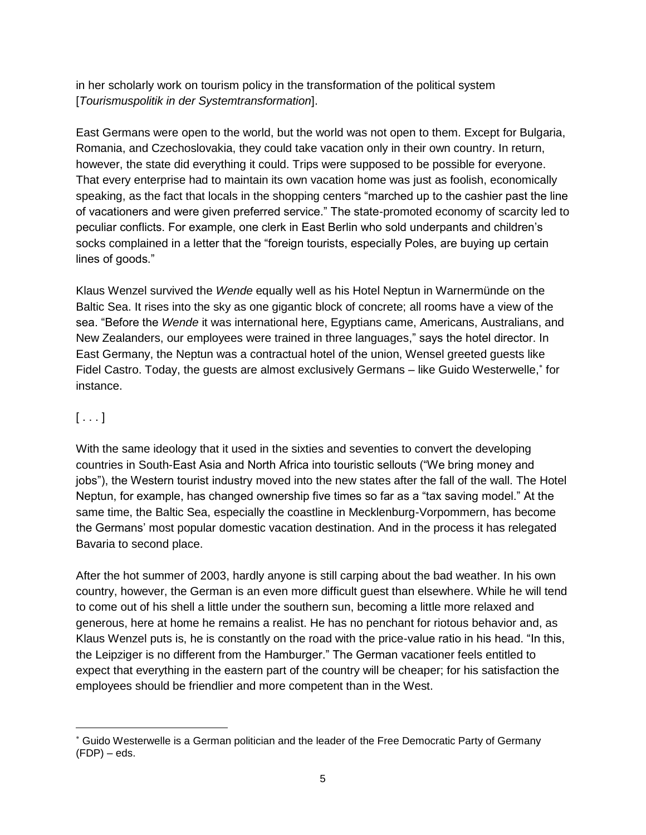in her scholarly work on tourism policy in the transformation of the political system [*Tourismuspolitik in der Systemtransformation*].

East Germans were open to the world, but the world was not open to them. Except for Bulgaria, Romania, and Czechoslovakia, they could take vacation only in their own country. In return, however, the state did everything it could. Trips were supposed to be possible for everyone. That every enterprise had to maintain its own vacation home was just as foolish, economically speaking, as the fact that locals in the shopping centers "marched up to the cashier past the line of vacationers and were given preferred service." The state-promoted economy of scarcity led to peculiar conflicts. For example, one clerk in East Berlin who sold underpants and children's socks complained in a letter that the "foreign tourists, especially Poles, are buying up certain lines of goods."

Klaus Wenzel survived the *Wende* equally well as his Hotel Neptun in Warnermünde on the Baltic Sea. It rises into the sky as one gigantic block of concrete; all rooms have a view of the sea. "Before the *Wende* it was international here, Egyptians came, Americans, Australians, and New Zealanders, our employees were trained in three languages," says the hotel director. In East Germany, the Neptun was a contractual hotel of the union, Wensel greeted guests like Fidel Castro. Today, the guests are almost exclusively Germans - like Guido Westerwelle,<sup>\*</sup> for instance.

# $[ \ldots ]$

 $\overline{a}$ 

With the same ideology that it used in the sixties and seventies to convert the developing countries in South-East Asia and North Africa into touristic sellouts ("We bring money and jobs"), the Western tourist industry moved into the new states after the fall of the wall. The Hotel Neptun, for example, has changed ownership five times so far as a "tax saving model." At the same time, the Baltic Sea, especially the coastline in Mecklenburg-Vorpommern, has become the Germans' most popular domestic vacation destination. And in the process it has relegated Bavaria to second place.

After the hot summer of 2003, hardly anyone is still carping about the bad weather. In his own country, however, the German is an even more difficult guest than elsewhere. While he will tend to come out of his shell a little under the southern sun, becoming a little more relaxed and generous, here at home he remains a realist. He has no penchant for riotous behavior and, as Klaus Wenzel puts is, he is constantly on the road with the price-value ratio in his head. "In this, the Leipziger is no different from the Hamburger." The German vacationer feels entitled to expect that everything in the eastern part of the country will be cheaper; for his satisfaction the employees should be friendlier and more competent than in the West.

Guido Westerwelle is a German politician and the leader of the Free Democratic Party of Germany  $(FDP) - eds.$